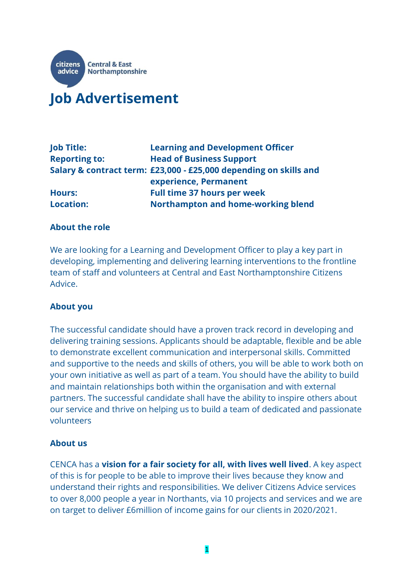

# **Job Advertisement**

| <b>Job Title:</b>    | <b>Learning and Development Officer</b>                           |
|----------------------|-------------------------------------------------------------------|
| <b>Reporting to:</b> | <b>Head of Business Support</b>                                   |
|                      | Salary & contract term: £23,000 - £25,000 depending on skills and |
|                      | experience, Permanent                                             |
| <b>Hours:</b>        | <b>Full time 37 hours per week</b>                                |
| <b>Location:</b>     | <b>Northampton and home-working blend</b>                         |

#### **About the role**

We are looking for a Learning and Development Officer to play a key part in developing, implementing and delivering learning interventions to the frontline team of staff and volunteers at Central and East Northamptonshire Citizens Advice.

#### **About you**

The successful candidate should have a proven track record in developing and delivering training sessions. Applicants should be adaptable, flexible and be able to demonstrate excellent communication and interpersonal skills. Committed and supportive to the needs and skills of others, you will be able to work both on your own initiative as well as part of a team. You should have the ability to build and maintain relationships both within the organisation and with external partners. The successful candidate shall have the ability to inspire others about our service and thrive on helping us to build a team of dedicated and passionate volunteers

#### **About us**

CENCA has a **vision for a fair society for all, with lives well lived**. A key aspect of this is for people to be able to improve their lives because they know and understand their rights and responsibilities. We deliver Citizens Advice services to over 8,000 people a year in Northants, via 10 projects and services and we are on target to deliver £6million of income gains for our clients in 2020/2021.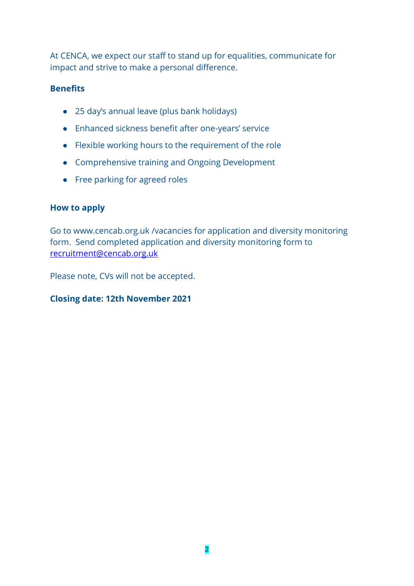At CENCA, we expect our staff to stand up for equalities, communicate for impact and strive to make a personal difference.

### **Benefits**

- 25 day's annual leave (plus bank holidays)
- Enhanced sickness benefit after one-years' service
- Flexible working hours to the requirement of the role
- Comprehensive training and Ongoing Development
- Free parking for agreed roles

#### **How to apply**

Go to www.cencab.org.uk /vacancies for application and diversity monitoring form. Send completed application and diversity monitoring form to [recruitment@cencab.org.uk](mailto:recruitment@cencab.org.uk)

Please note, CVs will not be accepted.

## **Closing date: 12th November 2021**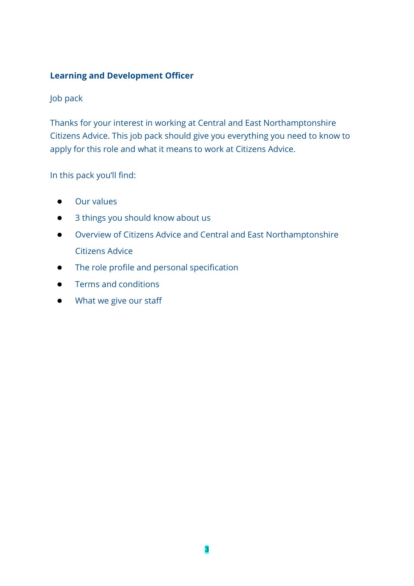## **Learning and Development Officer**

## Job pack

Thanks for your interest in working at Central and East Northamptonshire Citizens Advice. This job pack should give you everything you need to know to apply for this role and what it means to work at Citizens Advice.

## In this pack you'll find:

- Our values
- 3 things you should know about us
- Overview of Citizens Advice and Central and East Northamptonshire Citizens Advice
- The role profile and personal specification
- Terms and conditions
- What we give our staff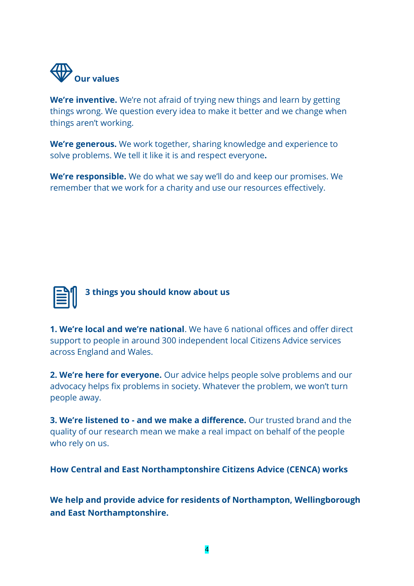

**We're inventive.** We're not afraid of trying new things and learn by getting things wrong. We question every idea to make it better and we change when things aren't working.

**We're generous.** We work together, sharing knowledge and experience to solve problems. We tell it like it is and respect everyone**.**

**We're responsible.** We do what we say we'll do and keep our promises. We remember that we work for a charity and use our resources effectively.



**3 things you should know about us**

**1. We're local and we're national**. We have 6 national offices and offer direct support to people in around 300 independent local Citizens Advice services across England and Wales.

**2. We're here for everyone.** Our advice helps people solve problems and our advocacy helps fix problems in society. Whatever the problem, we won't turn people away.

**3. We're listened to - and we make a difference.** Our trusted brand and the quality of our research mean we make a real impact on behalf of the people who rely on us.

**How Central and East Northamptonshire Citizens Advice (CENCA) works**

**We help and provide advice for residents of Northampton, Wellingborough and East Northamptonshire.**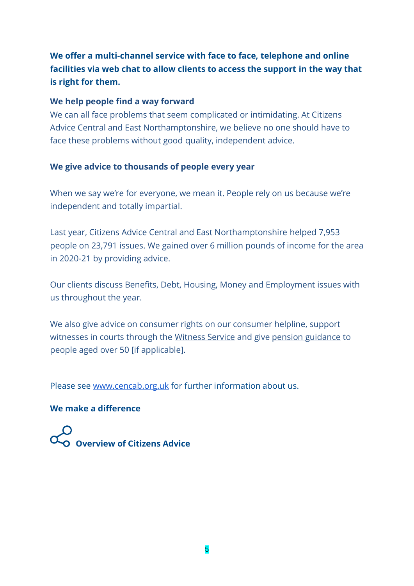## **We offer a multi-channel service with face to face, telephone and online facilities via web chat to allow clients to access the support in the way that is right for them.**

#### **We help people find a way forward**

We can all face problems that seem complicated or intimidating. At Citizens Advice Central and East Northamptonshire, we believe no one should have to face these problems without good quality, independent advice.

## **We give advice to thousands of people every year**

When we say we're for everyone, we mean it. People rely on us because we're independent and totally impartial.

Last year, Citizens Advice Central and East Northamptonshire helped 7,953 people on 23,791 issues. We gained over 6 million pounds of income for the area in 2020-21 by providing advice.

Our clients discuss Benefits, Debt, Housing, Money and Employment issues with us throughout the year.

We also give advice on consume[r](https://www.citizensadvice.org.uk/consumer/get-more-help/if-you-need-more-help-about-a-consumer-issue/) rights on our [consumer helpline,](https://www.citizensadvice.org.uk/consumer/get-more-help/if-you-need-more-help-about-a-consumer-issue/) support witn[e](https://www.citizensadvice.org.uk/about-us/how-we-provide-advice/advice-partnerships/pension-wise/)sses in courts through the [Witness Service](https://www.citizensadvice.org.uk/law-and-courts/legal-system/going-to-court-as-a-witness1/) and give [pension guidance](https://www.citizensadvice.org.uk/about-us/how-we-provide-advice/advice-partnerships/pension-wise/) to people aged over 50 [if applicable].

Please see [www.cencab.org.uk](http://www.cencab.org.uk/) for further information about us.

## **We make a difference**

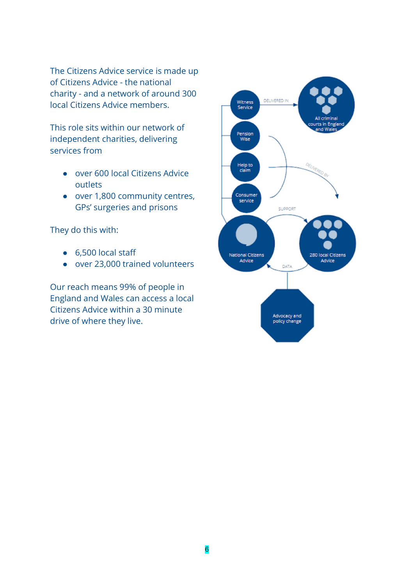The Citizens Advice service is made up of Citizens Advice - the national charity - and a network of around 300 local Citizens Advice members.

This role sits within our network of independent charities, delivering services from

- over 600 local Citizens Advice outlets
- over 1,800 community centres, GPs' surgeries and prisons

They do this with:

- 6,500 local staff
- over 23,000 trained volunteers

Our reach means 99% of people in England and Wales can access a local Citizens Advice within a 30 minute drive of where they live.

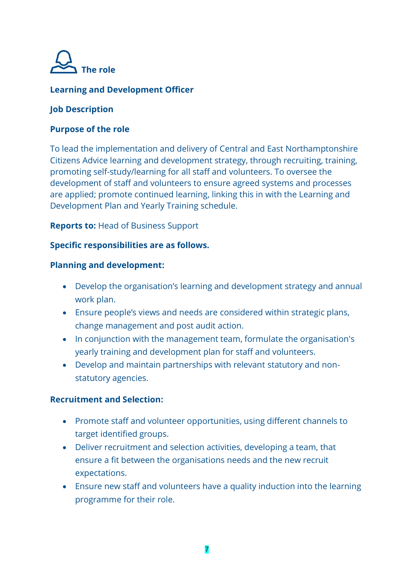

## **Learning and Development Officer**

#### **Job Description**

#### **Purpose of the role**

To lead the implementation and delivery of Central and East Northamptonshire Citizens Advice learning and development strategy, through recruiting, training, promoting self-study/learning for all staff and volunteers. To oversee the development of staff and volunteers to ensure agreed systems and processes are applied; promote continued learning, linking this in with the Learning and Development Plan and Yearly Training schedule.

**Reports to:** Head of Business Support

#### **Specific responsibilities are as follows.**

#### **Planning and development:**

- Develop the organisation's learning and development strategy and annual work plan.
- Ensure people's views and needs are considered within strategic plans, change management and post audit action.
- In conjunction with the management team, formulate the organisation's yearly training and development plan for staff and volunteers.
- Develop and maintain partnerships with relevant statutory and nonstatutory agencies.

#### **Recruitment and Selection:**

- Promote staff and volunteer opportunities, using different channels to target identified groups.
- Deliver recruitment and selection activities, developing a team, that ensure a fit between the organisations needs and the new recruit expectations.
- Ensure new staff and volunteers have a quality induction into the learning programme for their role.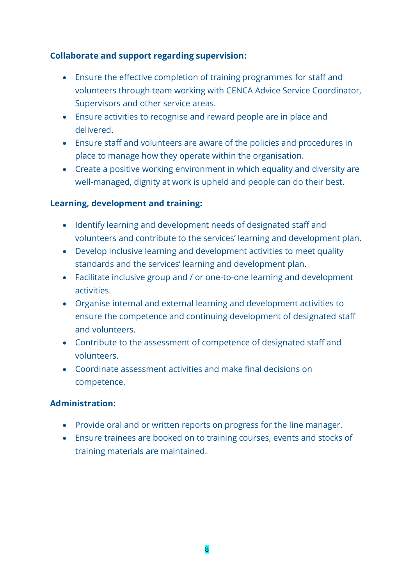## **Collaborate and support regarding supervision:**

- Ensure the effective completion of training programmes for staff and volunteers through team working with CENCA Advice Service Coordinator, Supervisors and other service areas.
- Ensure activities to recognise and reward people are in place and delivered.
- Ensure staff and volunteers are aware of the policies and procedures in place to manage how they operate within the organisation.
- Create a positive working environment in which equality and diversity are well-managed, dignity at work is upheld and people can do their best.

## **Learning, development and training:**

- Identify learning and development needs of designated staff and volunteers and contribute to the services' learning and development plan.
- Develop inclusive learning and development activities to meet quality standards and the services' learning and development plan.
- Facilitate inclusive group and / or one-to-one learning and development activities.
- Organise internal and external learning and development activities to ensure the competence and continuing development of designated staff and volunteers.
- Contribute to the assessment of competence of designated staff and volunteers.
- Coordinate assessment activities and make final decisions on competence.

#### **Administration:**

- Provide oral and or written reports on progress for the line manager.
- Ensure trainees are booked on to training courses, events and stocks of training materials are maintained.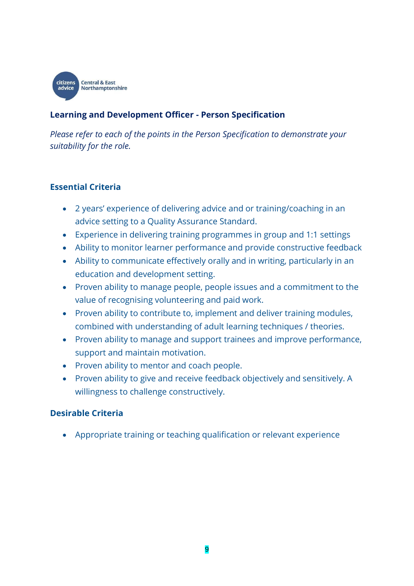

## **Learning and Development Officer - Person Specification**

*Please refer to each of the points in the Person Specification to demonstrate your suitability for the role.*

#### **Essential Criteria**

- 2 years' experience of delivering advice and or training/coaching in an advice setting to a Quality Assurance Standard.
- Experience in delivering training programmes in group and 1:1 settings
- Ability to monitor learner performance and provide constructive feedback
- Ability to communicate effectively orally and in writing, particularly in an education and development setting.
- Proven ability to manage people, people issues and a commitment to the value of recognising volunteering and paid work.
- Proven ability to contribute to, implement and deliver training modules, combined with understanding of adult learning techniques / theories.
- Proven ability to manage and support trainees and improve performance, support and maintain motivation.
- Proven ability to mentor and coach people.
- Proven ability to give and receive feedback objectively and sensitively. A willingness to challenge constructively.

## **Desirable Criteria**

Appropriate training or teaching qualification or relevant experience